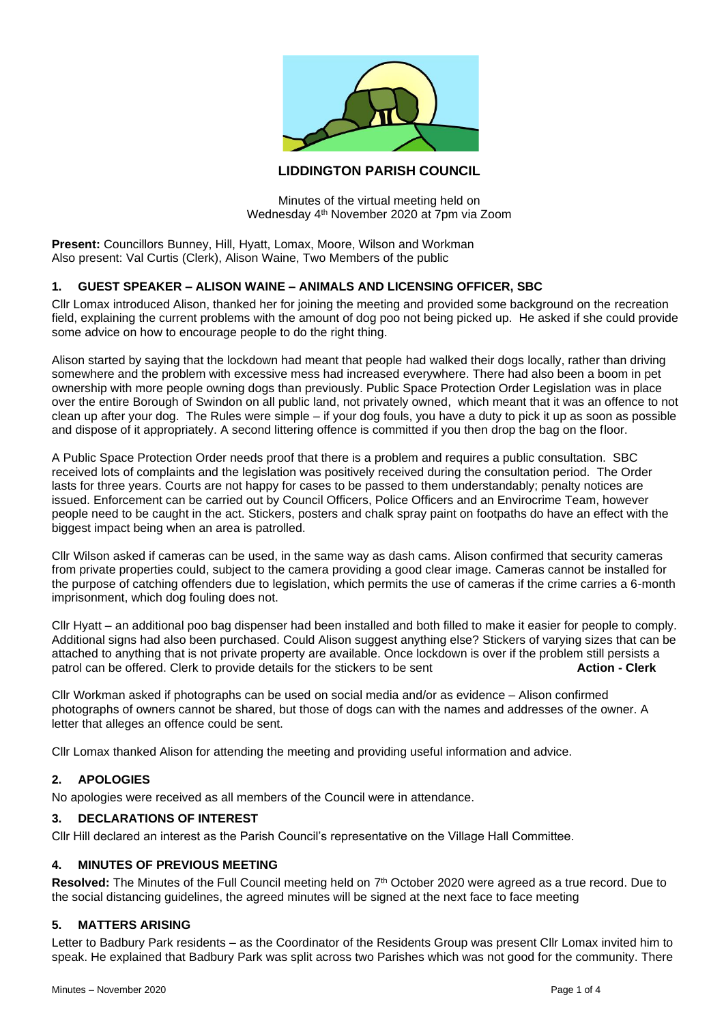

# **LIDDINGTON PARISH COUNCIL**

Minutes of the virtual meeting held on Wednesday 4th November 2020 at 7pm via Zoom

**Present:** Councillors Bunney, Hill, Hyatt, Lomax, Moore, Wilson and Workman Also present: Val Curtis (Clerk), Alison Waine, Two Members of the public

### **1. GUEST SPEAKER – ALISON WAINE – ANIMALS AND LICENSING OFFICER, SBC**

Cllr Lomax introduced Alison, thanked her for joining the meeting and provided some background on the recreation field, explaining the current problems with the amount of dog poo not being picked up. He asked if she could provide some advice on how to encourage people to do the right thing.

Alison started by saying that the lockdown had meant that people had walked their dogs locally, rather than driving somewhere and the problem with excessive mess had increased everywhere. There had also been a boom in pet ownership with more people owning dogs than previously. Public Space Protection Order Legislation was in place over the entire Borough of Swindon on all public land, not privately owned, which meant that it was an offence to not clean up after your dog. The Rules were simple – if your dog fouls, you have a duty to pick it up as soon as possible and dispose of it appropriately. A second littering offence is committed if you then drop the bag on the floor.

A Public Space Protection Order needs proof that there is a problem and requires a public consultation. SBC received lots of complaints and the legislation was positively received during the consultation period. The Order lasts for three years. Courts are not happy for cases to be passed to them understandably; penalty notices are issued. Enforcement can be carried out by Council Officers, Police Officers and an Envirocrime Team, however people need to be caught in the act. Stickers, posters and chalk spray paint on footpaths do have an effect with the biggest impact being when an area is patrolled.

Cllr Wilson asked if cameras can be used, in the same way as dash cams. Alison confirmed that security cameras from private properties could, subject to the camera providing a good clear image. Cameras cannot be installed for the purpose of catching offenders due to legislation, which permits the use of cameras if the crime carries a 6-month imprisonment, which dog fouling does not.

Cllr Hyatt – an additional poo bag dispenser had been installed and both filled to make it easier for people to comply. Additional signs had also been purchased. Could Alison suggest anything else? Stickers of varying sizes that can be attached to anything that is not private property are available. Once lockdown is over if the problem still persists a patrol can be offered. Clerk to provide details for the stickers to be sent **Action - Clerk**

Cllr Workman asked if photographs can be used on social media and/or as evidence – Alison confirmed photographs of owners cannot be shared, but those of dogs can with the names and addresses of the owner. A letter that alleges an offence could be sent.

Cllr Lomax thanked Alison for attending the meeting and providing useful information and advice.

# **2. APOLOGIES**

No apologies were received as all members of the Council were in attendance.

### **3. DECLARATIONS OF INTEREST**

Cllr Hill declared an interest as the Parish Council's representative on the Village Hall Committee.

#### **4. MINUTES OF PREVIOUS MEETING**

Resolved: The Minutes of the Full Council meeting held on 7<sup>th</sup> October 2020 were agreed as a true record. Due to the social distancing guidelines, the agreed minutes will be signed at the next face to face meeting

### **5. MATTERS ARISING**

Letter to Badbury Park residents – as the Coordinator of the Residents Group was present Cllr Lomax invited him to speak. He explained that Badbury Park was split across two Parishes which was not good for the community. There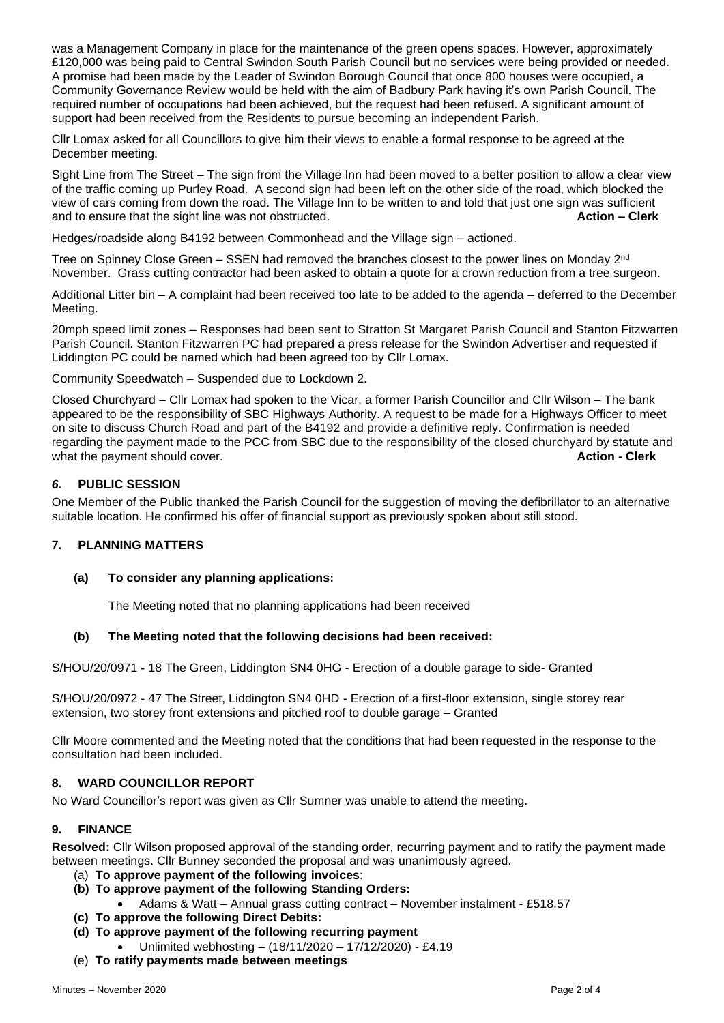was a Management Company in place for the maintenance of the green opens spaces. However, approximately £120,000 was being paid to Central Swindon South Parish Council but no services were being provided or needed. A promise had been made by the Leader of Swindon Borough Council that once 800 houses were occupied, a Community Governance Review would be held with the aim of Badbury Park having it's own Parish Council. The required number of occupations had been achieved, but the request had been refused. A significant amount of support had been received from the Residents to pursue becoming an independent Parish.

Cllr Lomax asked for all Councillors to give him their views to enable a formal response to be agreed at the December meeting.

Sight Line from The Street – The sign from the Village Inn had been moved to a better position to allow a clear view of the traffic coming up Purley Road. A second sign had been left on the other side of the road, which blocked the view of cars coming from down the road. The Village Inn to be written to and told that just one sign was sufficient and to ensure that the sight line was not obstructed. **Action – Clerk**

Hedges/roadside along B4192 between Commonhead and the Village sign – actioned.

Tree on Spinney Close Green – SSEN had removed the branches closest to the power lines on Monday  $2^{nd}$ November. Grass cutting contractor had been asked to obtain a quote for a crown reduction from a tree surgeon.

Additional Litter bin – A complaint had been received too late to be added to the agenda – deferred to the December Meeting.

20mph speed limit zones – Responses had been sent to Stratton St Margaret Parish Council and Stanton Fitzwarren Parish Council. Stanton Fitzwarren PC had prepared a press release for the Swindon Advertiser and requested if Liddington PC could be named which had been agreed too by Cllr Lomax.

Community Speedwatch – Suspended due to Lockdown 2.

Closed Churchyard – Cllr Lomax had spoken to the Vicar, a former Parish Councillor and Cllr Wilson – The bank appeared to be the responsibility of SBC Highways Authority. A request to be made for a Highways Officer to meet on site to discuss Church Road and part of the B4192 and provide a definitive reply. Confirmation is needed regarding the payment made to the PCC from SBC due to the responsibility of the closed churchyard by statute and what the payment should cover. **Action - Clerk** and **Action - Clerk** and **Action - Clerk** 

# *6.* **PUBLIC SESSION**

One Member of the Public thanked the Parish Council for the suggestion of moving the defibrillator to an alternative suitable location. He confirmed his offer of financial support as previously spoken about still stood.

# **7. PLANNING MATTERS**

# **(a) To consider any planning applications:**

The Meeting noted that no planning applications had been received

# **(b) The Meeting noted that the following decisions had been received:**

S/HOU/20/0971 **-** 18 The Green, Liddington SN4 0HG - Erection of a double garage to side- Granted

S/HOU/20/0972 - 47 The Street, Liddington SN4 0HD - Erection of a first-floor extension, single storey rear extension, two storey front extensions and pitched roof to double garage – Granted

Cllr Moore commented and the Meeting noted that the conditions that had been requested in the response to the consultation had been included.

# **8. WARD COUNCILLOR REPORT**

No Ward Councillor's report was given as Cllr Sumner was unable to attend the meeting.

#### **9. FINANCE**

**Resolved:** Cllr Wilson proposed approval of the standing order, recurring payment and to ratify the payment made between meetings. Cllr Bunney seconded the proposal and was unanimously agreed.

- (a) **To approve payment of the following invoices**:
- **(b) To approve payment of the following Standing Orders:**
	- Adams & Watt Annual grass cutting contract November instalment £518.57
- **(c) To approve the following Direct Debits:**
- **(d) To approve payment of the following recurring payment**
	- Unlimited webhosting (18/11/2020 17/12/2020) £4.19
- (e) **To ratify payments made between meetings**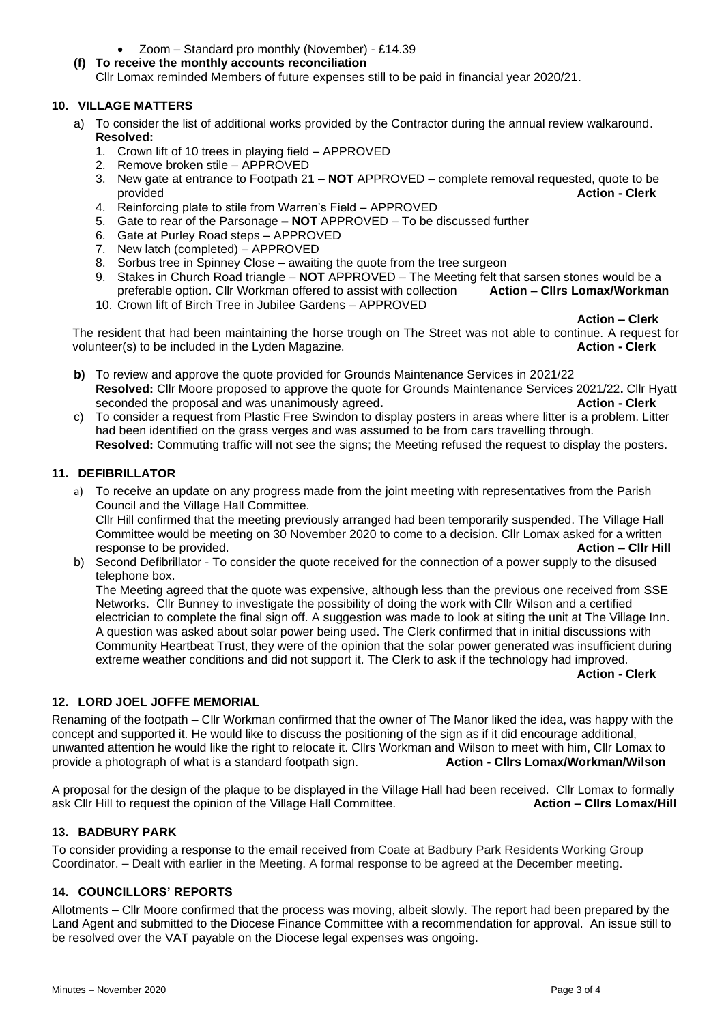- Zoom Standard pro monthly (November) £14.39
- **(f) To receive the monthly accounts reconciliation** Cllr Lomax reminded Members of future expenses still to be paid in financial year 2020/21.

# **10. VILLAGE MATTERS**

- a) To consider the list of additional works provided by the Contractor during the annual review walkaround. **Resolved:** 
	- 1. Crown lift of 10 trees in playing field APPROVED
	- 2. Remove broken stile APPROVED
	- 3. New gate at entrance to Footpath 21 **NOT** APPROVED complete removal requested, quote to be provided **Action - Clerk**
	- 4. Reinforcing plate to stile from Warren's Field APPROVED
	- 5. Gate to rear of the Parsonage **– NOT** APPROVED To be discussed further
	- 6. Gate at Purley Road steps APPROVED
	- 7. New latch (completed) APPROVED
	- 8. Sorbus tree in Spinney Close awaiting the quote from the tree surgeon
	- 9. Stakes in Church Road triangle **NOT** APPROVED The Meeting felt that sarsen stones would be a preferable option. Cllr Workman offered to assist with collection **Action – Cllrs Lomax/Workman**
	- 10. Crown lift of Birch Tree in Jubilee Gardens APPROVED

**Action – Clerk**

The resident that had been maintaining the horse trough on The Street was not able to continue. A request for volunteer(s) to be included in the Lyden Magazine. **Action - Clerk**

- **b)** To review and approve the quote provided for Grounds Maintenance Services in 2021/22 **Resolved:** Cllr Moore proposed to approve the quote for Grounds Maintenance Services 2021/22**.** Cllr Hyatt seconded the proposal and was unanimously agreed**. Action - Clerk**
- c) To consider a request from Plastic Free Swindon to display posters in areas where litter is a problem. Litter had been identified on the grass verges and was assumed to be from cars travelling through. **Resolved:** Commuting traffic will not see the signs; the Meeting refused the request to display the posters.

# **11. DEFIBRILLATOR**

a) To receive an update on any progress made from the joint meeting with representatives from the Parish Council and the Village Hall Committee.

Cllr Hill confirmed that the meeting previously arranged had been temporarily suspended. The Village Hall Committee would be meeting on 30 November 2020 to come to a decision. Cllr Lomax asked for a written response to be provided. **Action – Cllr Hill**

b) Second Defibrillator - To consider the quote received for the connection of a power supply to the disused telephone box.

The Meeting agreed that the quote was expensive, although less than the previous one received from SSE Networks. Cllr Bunney to investigate the possibility of doing the work with Cllr Wilson and a certified electrician to complete the final sign off. A suggestion was made to look at siting the unit at The Village Inn. A question was asked about solar power being used. The Clerk confirmed that in initial discussions with Community Heartbeat Trust, they were of the opinion that the solar power generated was insufficient during extreme weather conditions and did not support it. The Clerk to ask if the technology had improved. **Action - Clerk**

# **12. LORD JOEL JOFFE MEMORIAL**

Renaming of the footpath – Cllr Workman confirmed that the owner of The Manor liked the idea, was happy with the concept and supported it. He would like to discuss the positioning of the sign as if it did encourage additional, unwanted attention he would like the right to relocate it. Cllrs Workman and Wilson to meet with him, Cllr Lomax to provide a photograph of what is a standard footpath sign. **Action - Cllrs Lomax/Workman/Wilson**

A proposal for the design of the plaque to be displayed in the Village Hall had been received. Cllr Lomax to formally ask Cllr Hill to request the opinion of the Village Hall Committee. **Action – Cllrs Lomax/Hill**

# **13. BADBURY PARK**

To consider providing a response to the email received from Coate at Badbury Park Residents Working Group Coordinator. – Dealt with earlier in the Meeting. A formal response to be agreed at the December meeting.

# **14. COUNCILLORS' REPORTS**

Allotments – Cllr Moore confirmed that the process was moving, albeit slowly. The report had been prepared by the Land Agent and submitted to the Diocese Finance Committee with a recommendation for approval. An issue still to be resolved over the VAT payable on the Diocese legal expenses was ongoing.